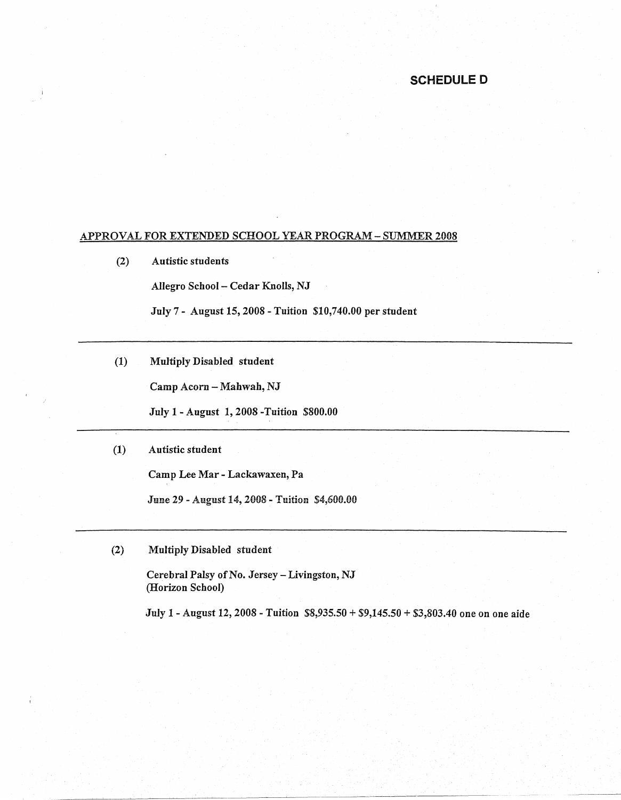## **SCHEDULED**

## APPROVAL FOR EXTENDED SCHOOL YEAR PROGRAM- SUMMER 2008

(2) Autistic students

Allegro School - Cedar Knolls, NJ

July 7 - August 15, 2008 - Tuition \$10,740.00 per student

(1) Multiply Disabled student

Camp Acorn - Mahwah, NJ

July 1-August 1, 2008 -Tuition \$800.00

## (1) Autistic student

Camp Lee Mar - Lackawaxen, Pa

June 29 - August 14, 2008 - Tuition \$4,600.00

(2) Multiply Disabled student

Cerebral Palsy of No. Jersey-Livingston, NJ (Horizon School)

July 1 - August 12, 2008 - Tuition \$8,935.50 + \$9,145.50 + \$3,803.40 one on one aide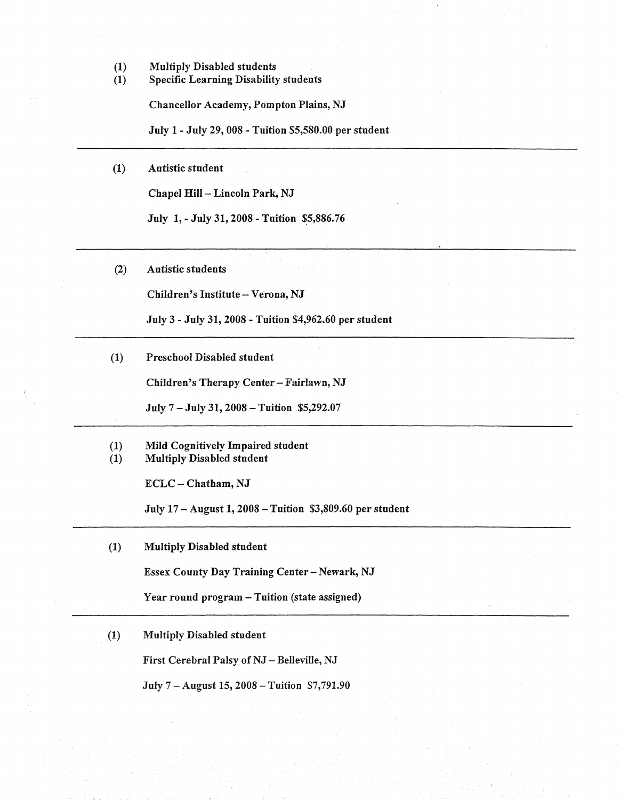- (1) Multiply Disabled students
- (1) Specific Learning Disability students

Chancellor Academy, Pompton Plains, NJ

July 1- July 29,008 -Tuition \$5,580.00 per student

(1) Autistic student

Chapel Hill - Lincoln Park, NJ

July 1, - July 31, 2008 - Tuition \$5,886.76

(2) Autistic students

Children's Institute - Verona, NJ

July 3 - July 31, 2008 - Tuition \$4,962.60 per student

(1) Preschool Disabled student

Children's Therapy Center - Fairlawn, NJ

July 7 - July 31, 2008 -Tuition \$5,292.07

(1) Mild Cognitively Impaired student (1) Multiply Disabled student

ECLC - Chatham, NJ

July 17 - August 1, 2008 - Tuition \$3,809.60 per student

(1) Multiply Disabled student

Essex County Day Training Center - Newark, NJ

Year round program - Tuition (state assigned)

(1) Multiply Disabled student

First Cerebral Palsy of NJ - Belleville, NJ

July 7 -August 15, 2008-Tuition \$7,791.90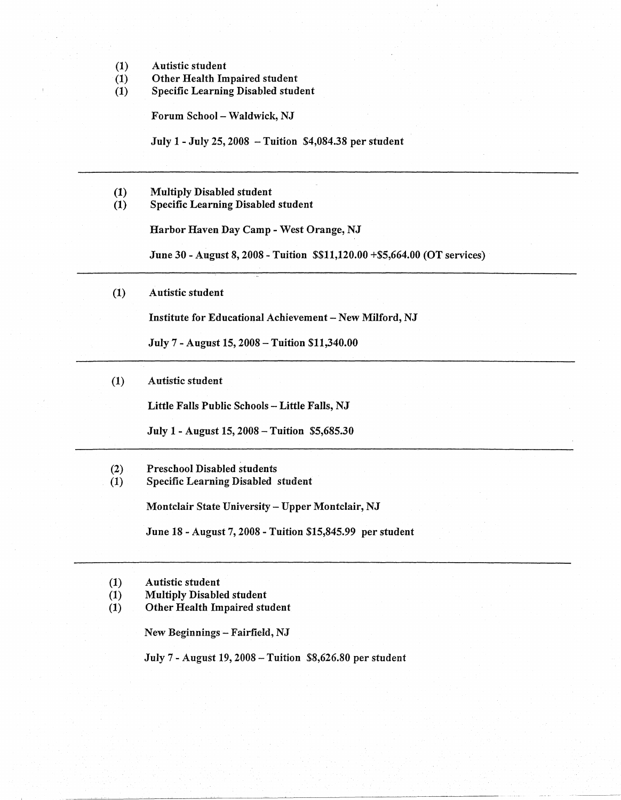- (1) Autistic student
- (1) Other Health Impaired student<br>(1) Specific Learning Disabled stud
- Specific Learning Disabled student

Forum School - Waldwick, NJ

July 1- July 25, 2008 -Tuition \$4,084.38 per student

- (1) Multiply Disabled student
- (1) Specific Learning Disabled student

Harbor Haven Day Camp- West Orange, NJ

June 30 -August 8, 2008 - Tuition \$\$11,120.00 +\$5,664.00 (OT services)

(1) Autistic student

Institute for Educational Achievement - New Milford, NJ

July 7 - August 15, 2008 - Tuition \$11,340.00

(1) Autistic student

Little Falls Public Schools - Little Falls, NJ

July 1 - August 15, 2008 - Tuition \$5,685.30

- (2) Preschool Disabled students
- (1) Specific Learning Disabled student

Montclair State University- Upper Montclair, NJ

June 18 - August 7, 2008 - Tuition \$15,845.99 per student

- (1) Autistic student
- (1) Multiply Disabled student
- (1) Other Health Impaired student

New Beginnings - Fairfield, NJ

July 7 - August 19, 2008-Tuition \$8,626.80 per student